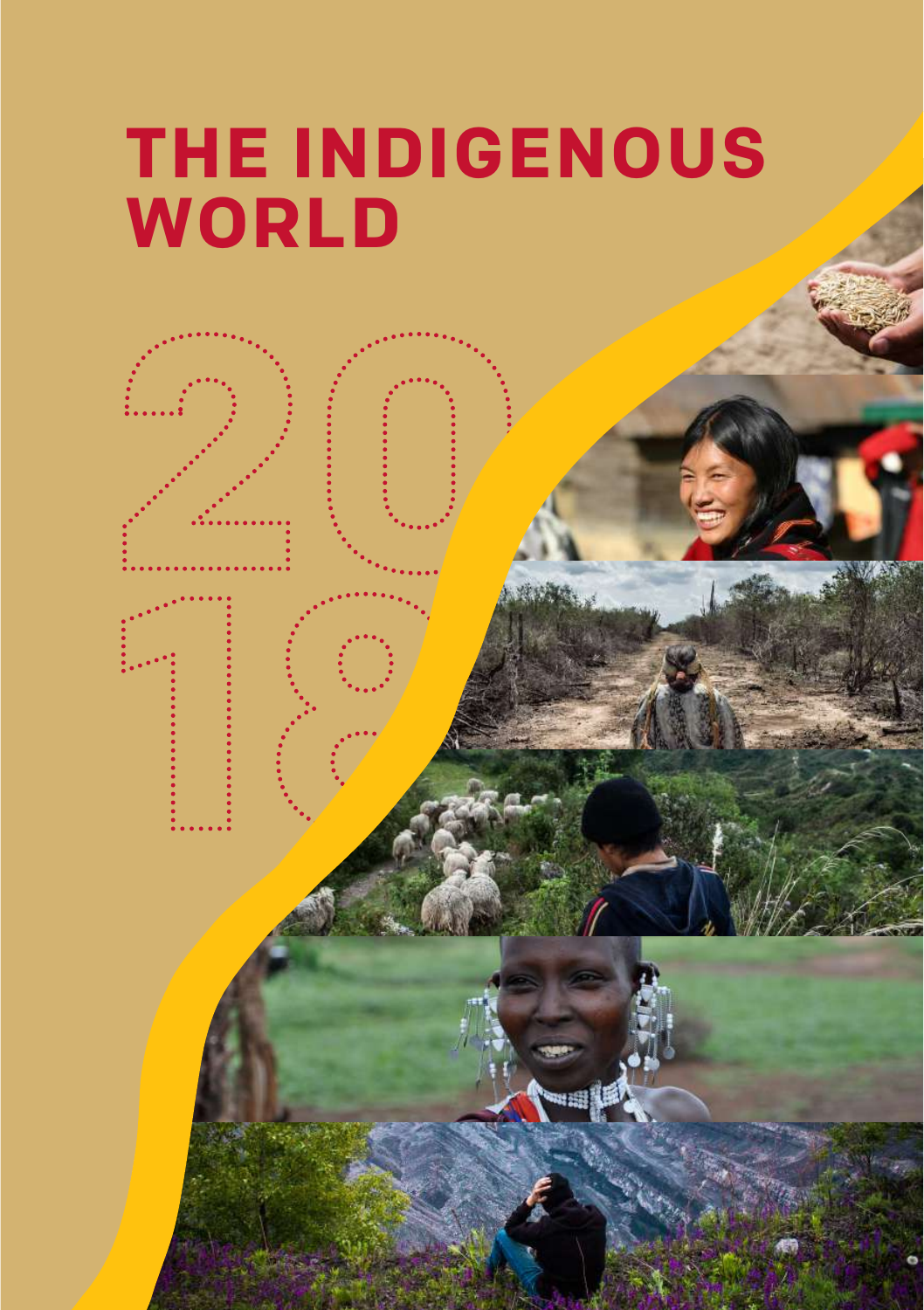# **THE INDIGENOUS WORLD**

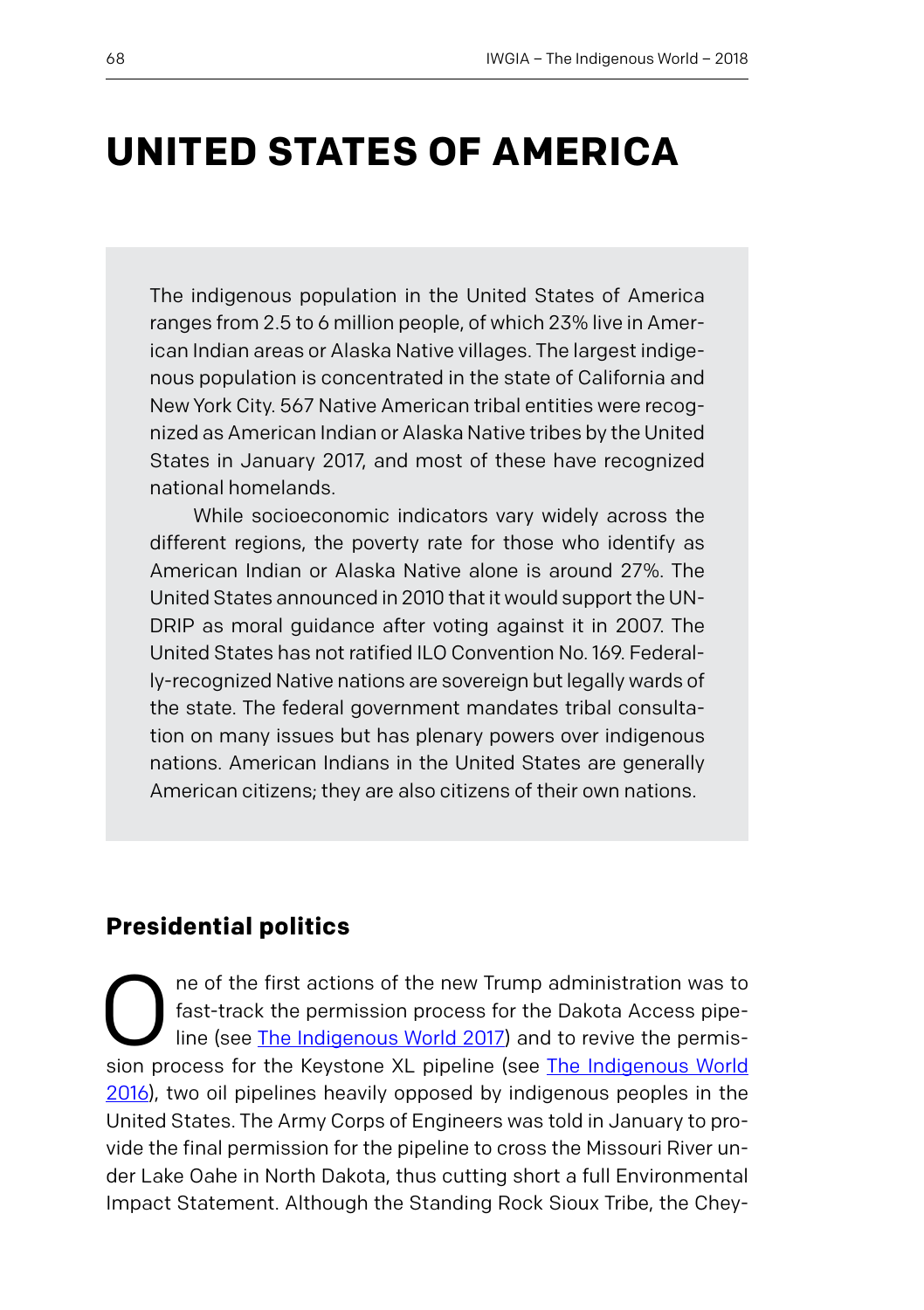# **UNITED STATES OF AMERICA**

The indigenous population in the United States of America ranges from 2.5 to 6 million people, of which 23% live in American Indian areas or Alaska Native villages. The largest indigenous population is concentrated in the state of California and New York City. 567 Native American tribal entities were recognized as American Indian or Alaska Native tribes by the United States in January 2017, and most of these have recognized national homelands.

While socioeconomic indicators vary widely across the different regions, the poverty rate for those who identify as American Indian or Alaska Native alone is around 27%. The United States announced in 2010 that it would support the UN-DRIP as moral guidance after voting against it in 2007. The United States has not ratified ILO Convention No. 169. Federally-recognized Native nations are sovereign but legally wards of the state. The federal government mandates tribal consultation on many issues but has plenary powers over indigenous nations. American Indians in the United States are generally American citizens; they are also citizens of their own nations.

## **Presidential politics**

The of the first actions of the new Trump administration was to fast-track the permission process for the Dakota Access pipeline (see The Indigenous World 2017) and to revive the permission process for the Kovstane VI pipe fast-track the permission process for the Dakota Access pipeline (see The Indigenous World 2017) and to revive the permission process for the Keystone XL pipeline (see [The Indigenous World](https://www.iwgia.org/images/publications/0740_THE_INDIGENOUS_ORLD_2016_final_eb.pdf) [2016\)](https://www.iwgia.org/images/publications/0740_THE_INDIGENOUS_ORLD_2016_final_eb.pdf), two oil pipelines heavily opposed by indigenous peoples in the United States. The Army Corps of Engineers was told in January to provide the final permission for the pipeline to cross the Missouri River under Lake Oahe in North Dakota, thus cutting short a full Environmental Impact Statement. Although the Standing Rock Sioux Tribe, the Chey-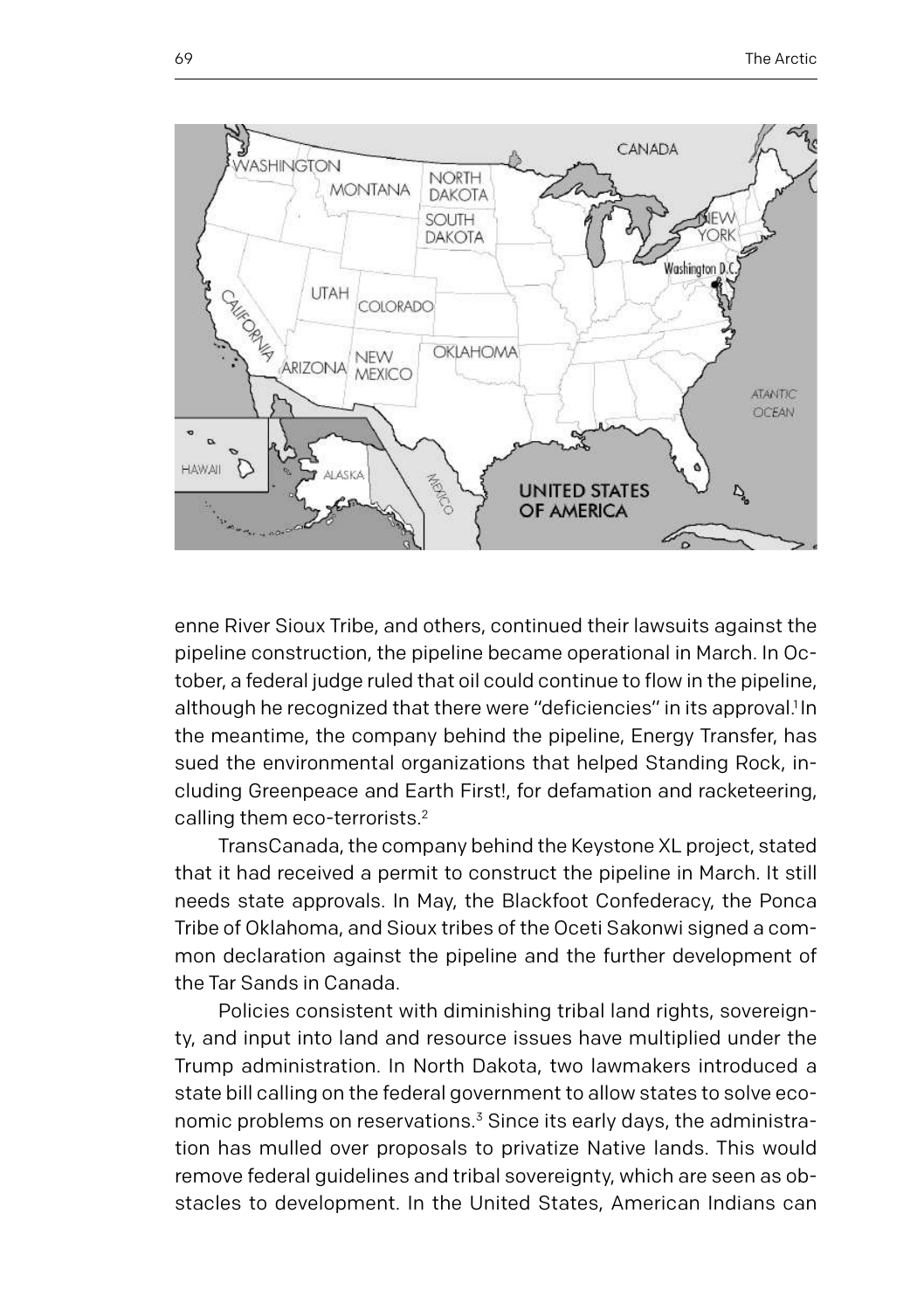

enne River Sioux Tribe, and others, continued their lawsuits against the pipeline construction, the pipeline became operational in March. In October, a federal judge ruled that oil could continue to flow in the pipeline, although he recognized that there were "deficiencies" in its approval.<sup>1</sup> In the meantime, the company behind the pipeline, Energy Transfer, has sued the environmental organizations that helped Standing Rock, including Greenpeace and Earth First!, for defamation and racketeering, calling them eco-terrorists.2

TransCanada, the company behind the Keystone XL project, stated that it had received a permit to construct the pipeline in March. It still needs state approvals. In May, the Blackfoot Confederacy, the Ponca Tribe of Oklahoma, and Sioux tribes of the Oceti Sakonwi signed a common declaration against the pipeline and the further development of the Tar Sands in Canada.

Policies consistent with diminishing tribal land rights, sovereignty, and input into land and resource issues have multiplied under the Trump administration. In North Dakota, two lawmakers introduced a state bill calling on the federal government to allow states to solve economic problems on reservations.<sup>3</sup> Since its early days, the administration has mulled over proposals to privatize Native lands. This would remove federal guidelines and tribal sovereignty, which are seen as obstacles to development. In the United States, American Indians can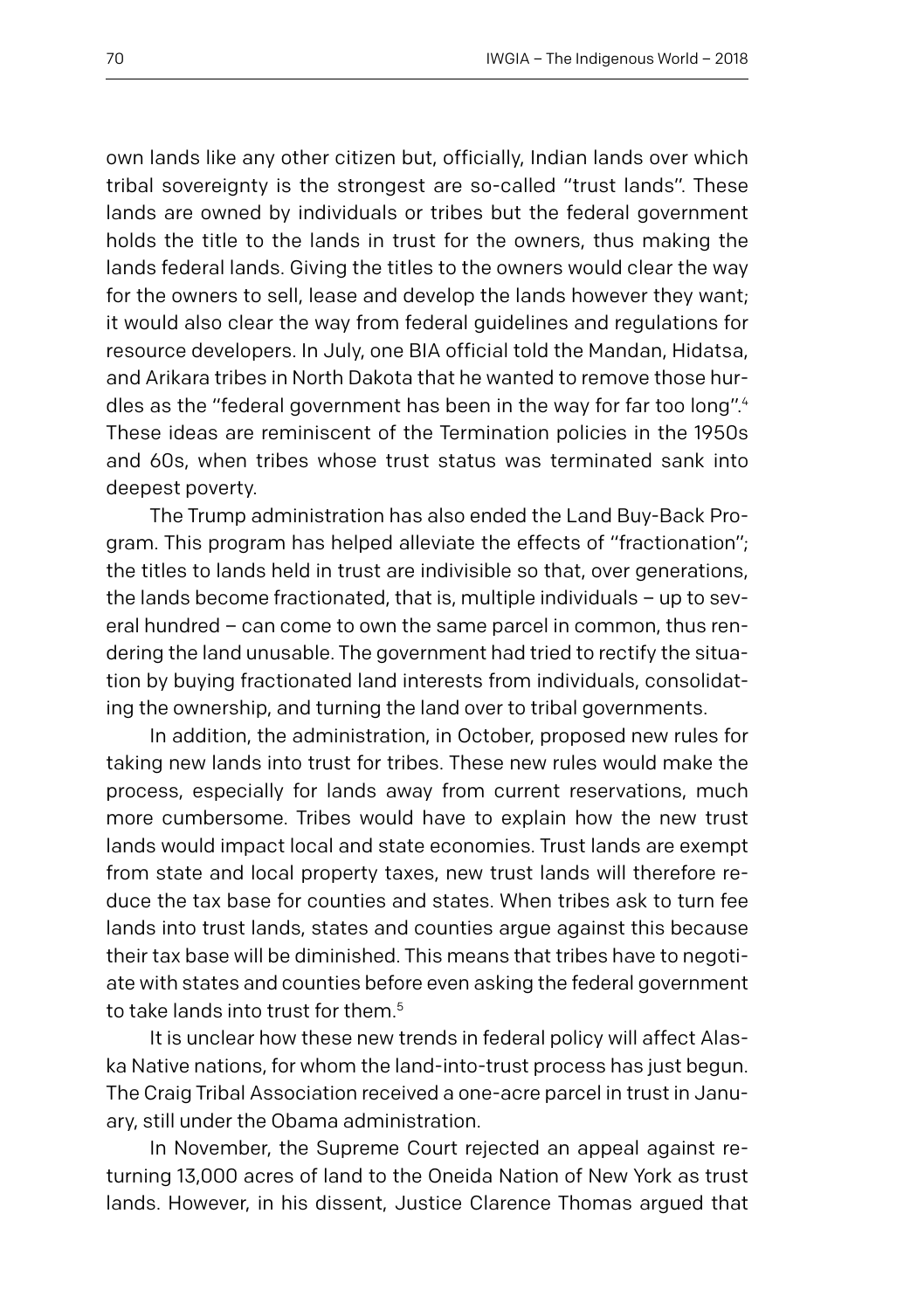own lands like any other citizen but, officially, Indian lands over which tribal sovereignty is the strongest are so-called "trust lands". These lands are owned by individuals or tribes but the federal government holds the title to the lands in trust for the owners, thus making the lands federal lands. Giving the titles to the owners would clear the way for the owners to sell, lease and develop the lands however they want; it would also clear the way from federal guidelines and regulations for resource developers. In July, one BIA official told the Mandan, Hidatsa, and Arikara tribes in North Dakota that he wanted to remove those hurdles as the "federal government has been in the way for far too long".4 These ideas are reminiscent of the Termination policies in the 1950s and 60s, when tribes whose trust status was terminated sank into deepest poverty.

The Trump administration has also ended the Land Buy-Back Program. This program has helped alleviate the effects of "fractionation"; the titles to lands held in trust are indivisible so that, over generations, the lands become fractionated, that is, multiple individuals – up to several hundred – can come to own the same parcel in common, thus rendering the land unusable. The government had tried to rectify the situation by buying fractionated land interests from individuals, consolidating the ownership, and turning the land over to tribal governments.

In addition, the administration, in October, proposed new rules for taking new lands into trust for tribes. These new rules would make the process, especially for lands away from current reservations, much more cumbersome. Tribes would have to explain how the new trust lands would impact local and state economies. Trust lands are exempt from state and local property taxes, new trust lands will therefore reduce the tax base for counties and states. When tribes ask to turn fee lands into trust lands, states and counties argue against this because their tax base will be diminished. This means that tribes have to negotiate with states and counties before even asking the federal government to take lands into trust for them.<sup>5</sup>

It is unclear how these new trends in federal policy will affect Alaska Native nations, for whom the land-into-trust process has just begun. The Craig Tribal Association received a one-acre parcel in trust in January, still under the Obama administration.

In November, the Supreme Court rejected an appeal against returning 13,000 acres of land to the Oneida Nation of New York as trust lands. However, in his dissent, Justice Clarence Thomas argued that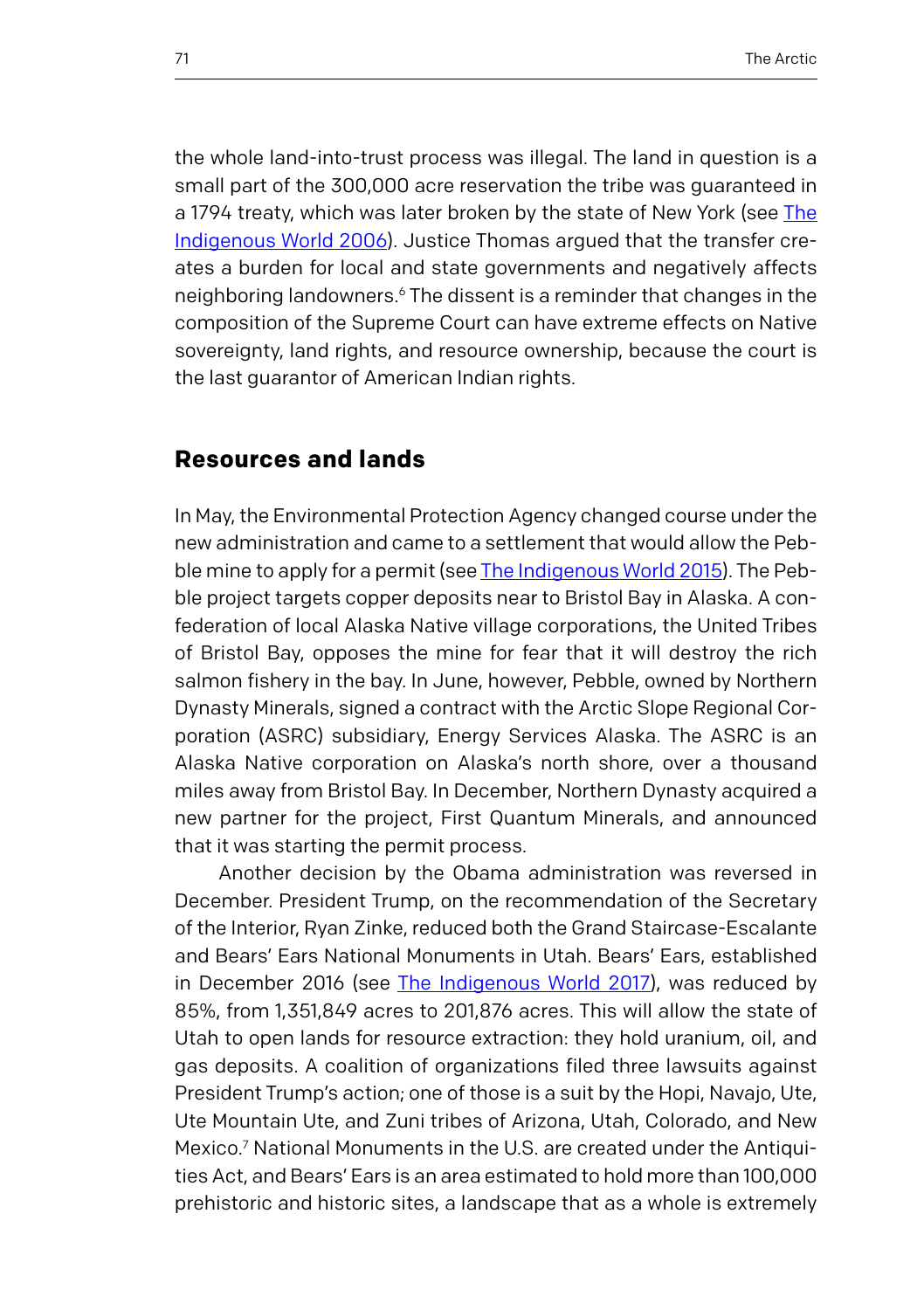the whole land-into-trust process was illegal. The land in question is a small part of the 300,000 acre reservation the tribe was guaranteed in a 1794 treaty, which was later broken by the state of New York (see [The](https://www.iwgia.org/images/publications/0740_THE_INDIGENOUS_ORLD_2016_final_eb.pdf) [Indigenous World 2006\)](https://www.iwgia.org/images/publications/0740_THE_INDIGENOUS_ORLD_2016_final_eb.pdf). Justice Thomas argued that the transfer creates a burden for local and state governments and negatively affects neighboring landowners.6 The dissent is a reminder that changes in the composition of the Supreme Court can have extreme effects on Native sovereignty, land rights, and resource ownership, because the court is the last guarantor of American Indian rights.

#### **Resources and lands**

In May, the Environmental Protection Agency changed course under the new administration and came to a settlement that would allow the Pebble mine to apply for a permit (see [The Indigenous World 2015](https://www.iwgia.org/images/publications/0716_THE_INDIGENOUS_ORLD_2015_eb.pdf)). The Pebble project targets copper deposits near to Bristol Bay in Alaska. A confederation of local Alaska Native village corporations, the United Tribes of Bristol Bay, opposes the mine for fear that it will destroy the rich salmon fishery in the bay. In June, however, Pebble, owned by Northern Dynasty Minerals, signed a contract with the Arctic Slope Regional Corporation (ASRC) subsidiary, Energy Services Alaska. The ASRC is an Alaska Native corporation on Alaska's north shore, over a thousand miles away from Bristol Bay. In December, Northern Dynasty acquired a new partner for the project, First Quantum Minerals, and announced that it was starting the permit process.

Another decision by the Obama administration was reversed in December. President Trump, on the recommendation of the Secretary of the Interior, Ryan Zinke, reduced both the Grand Staircase-Escalante and Bears' Ears National Monuments in Utah. Bears' Ears, established in December 2016 (see [The Indigenous World 2017\)](https://www.iwgia.org/images/documents/indigenous-world/indigenous-world-2017.pdf), was reduced by 85%, from 1,351,849 acres to 201,876 acres. This will allow the state of Utah to open lands for resource extraction: they hold uranium, oil, and gas deposits. A coalition of organizations filed three lawsuits against President Trump's action; one of those is a suit by the Hopi, Navajo, Ute, Ute Mountain Ute, and Zuni tribes of Arizona, Utah, Colorado, and New Mexico.7 National Monuments in the U.S. are created under the Antiquities Act, and Bears' Ears is an area estimated to hold more than 100,000 prehistoric and historic sites, a landscape that as a whole is extremely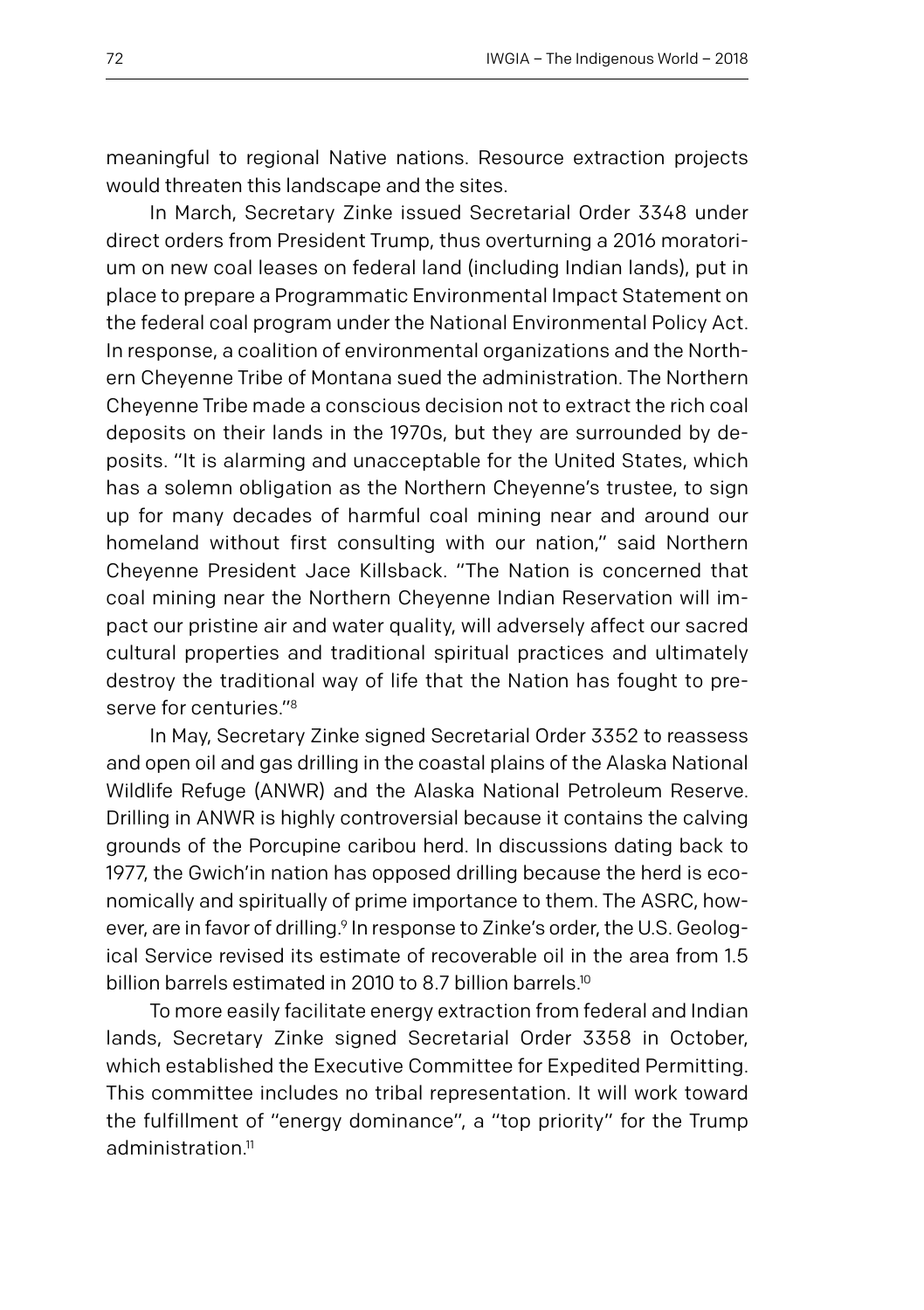meaningful to regional Native nations. Resource extraction projects would threaten this landscape and the sites.

In March, Secretary Zinke issued Secretarial Order 3348 under direct orders from President Trump, thus overturning a 2016 moratorium on new coal leases on federal land (including Indian lands), put in place to prepare a Programmatic Environmental Impact Statement on the federal coal program under the National Environmental Policy Act. In response, a coalition of environmental organizations and the Northern Cheyenne Tribe of Montana sued the administration. The Northern Cheyenne Tribe made a conscious decision not to extract the rich coal deposits on their lands in the 1970s, but they are surrounded by deposits. "It is alarming and unacceptable for the United States, which has a solemn obligation as the Northern Cheyenne's trustee, to sign up for many decades of harmful coal mining near and around our homeland without first consulting with our nation," said Northern Cheyenne President Jace Killsback. "The Nation is concerned that coal mining near the Northern Cheyenne Indian Reservation will impact our pristine air and water quality, will adversely affect our sacred cultural properties and traditional spiritual practices and ultimately destroy the traditional way of life that the Nation has fought to preserve for centuries."8

In May, Secretary Zinke signed Secretarial Order 3352 to reassess and open oil and gas drilling in the coastal plains of the Alaska National Wildlife Refuge (ANWR) and the Alaska National Petroleum Reserve. Drilling in ANWR is highly controversial because it contains the calving grounds of the Porcupine caribou herd. In discussions dating back to 1977, the Gwich'in nation has opposed drilling because the herd is economically and spiritually of prime importance to them. The ASRC, however, are in favor of drilling.<sup>9</sup> In response to Zinke's order, the U.S. Geological Service revised its estimate of recoverable oil in the area from 1.5 billion barrels estimated in 2010 to 8.7 billion barrels.<sup>10</sup>

To more easily facilitate energy extraction from federal and Indian lands, Secretary Zinke signed Secretarial Order 3358 in October, which established the Executive Committee for Expedited Permitting. This committee includes no tribal representation. It will work toward the fulfillment of "energy dominance", a "top priority" for the Trump administration $11$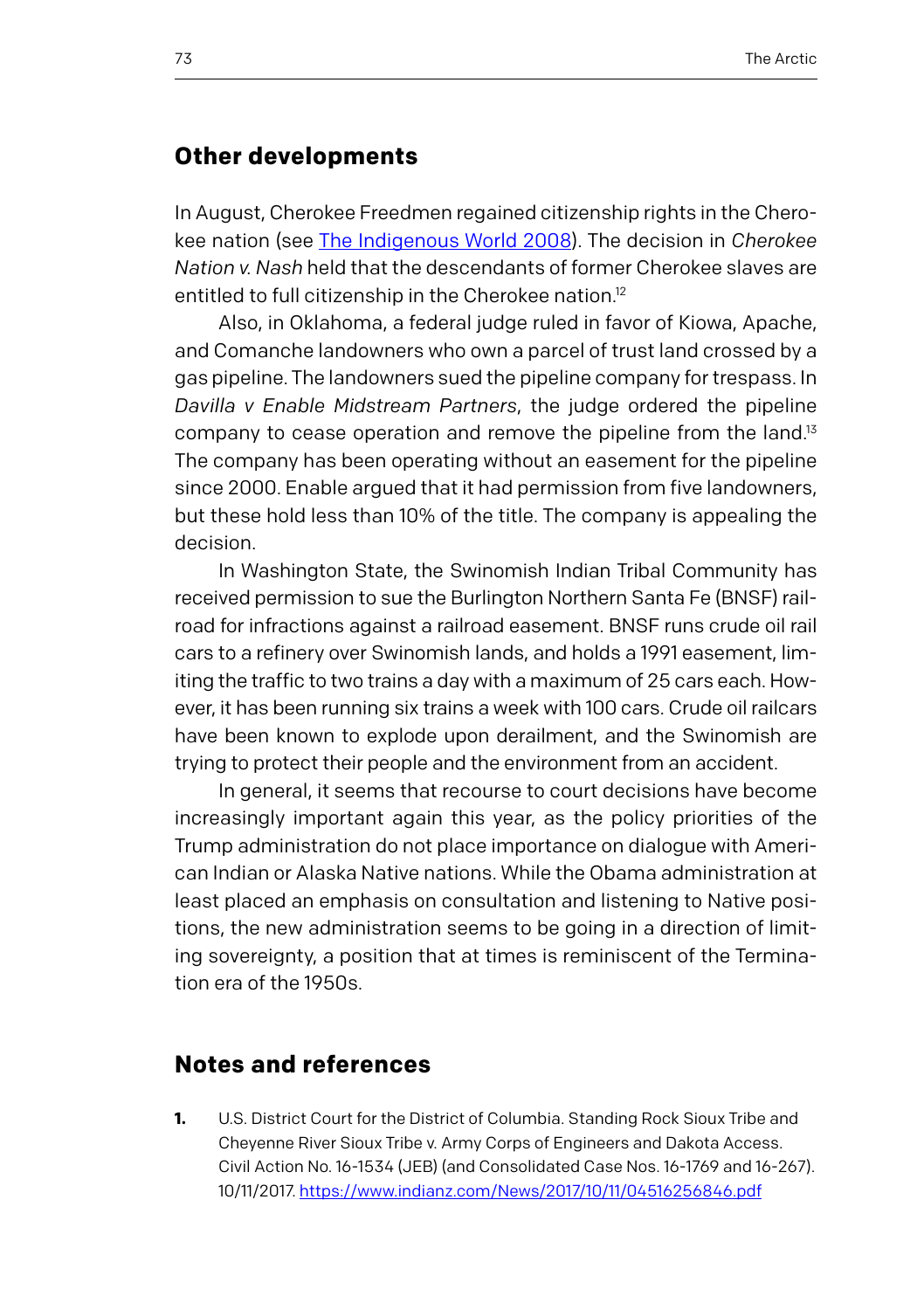## **Other developments**

In August, Cherokee Freedmen regained citizenship rights in the Cherokee nation (see [The Indigenous World 2008\)](https://www.iwgia.org/images/publications/IW_2008.pdf). The decision in *Cherokee Nation v. Nash* held that the descendants of former Cherokee slaves are entitled to full citizenship in the Cherokee nation.<sup>12</sup>

Also, in Oklahoma, a federal judge ruled in favor of Kiowa, Apache, and Comanche landowners who own a parcel of trust land crossed by a gas pipeline. The landowners sued the pipeline company for trespass. In *Davilla v Enable Midstream Partners*, the judge ordered the pipeline company to cease operation and remove the pipeline from the land.<sup>13</sup> The company has been operating without an easement for the pipeline since 2000. Enable argued that it had permission from five landowners, but these hold less than 10% of the title. The company is appealing the decision.

In Washington State, the Swinomish Indian Tribal Community has received permission to sue the Burlington Northern Santa Fe (BNSF) railroad for infractions against a railroad easement. BNSF runs crude oil rail cars to a refinery over Swinomish lands, and holds a 1991 easement, limiting the traffic to two trains a day with a maximum of 25 cars each. However, it has been running six trains a week with 100 cars. Crude oil railcars have been known to explode upon derailment, and the Swinomish are trying to protect their people and the environment from an accident.

In general, it seems that recourse to court decisions have become increasingly important again this year, as the policy priorities of the Trump administration do not place importance on dialogue with American Indian or Alaska Native nations. While the Obama administration at least placed an emphasis on consultation and listening to Native positions, the new administration seems to be going in a direction of limiting sovereignty, a position that at times is reminiscent of the Termination era of the 1950s.

#### **Notes and references**

**1.** U.S. District Court for the District of Columbia. Standing Rock Sioux Tribe and Cheyenne River Sioux Tribe v. Army Corps of Engineers and Dakota Access. Civil Action No. 16-1534 (JEB) (and Consolidated Case Nos. 16-1769 and 16-267). 10/11/2017.<https://www.indianz.com/News/2017/10/11/04516256846.pdf>